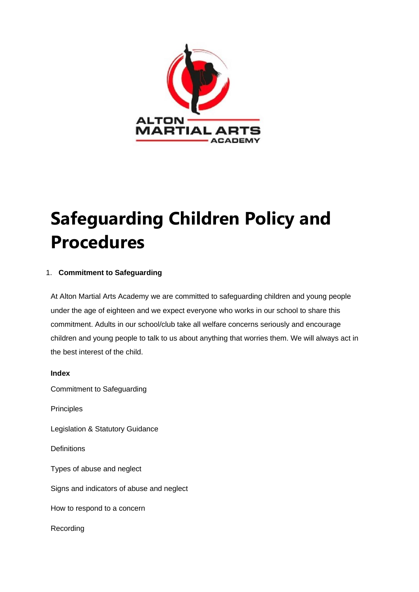

# **Safeguarding Children Policy and Procedures**

# 1. **Commitment to Safeguarding**

At Alton Martial Arts Academy we are committed to safeguarding children and young people under the age of eighteen and we expect everyone who works in our school to share this commitment. Adults in our school/club take all welfare concerns seriously and encourage children and young people to talk to us about anything that worries them. We will always act in the best interest of the child.

**Index** Commitment to Safeguarding Principles Legislation & Statutory Guidance **Definitions** Types of abuse and neglect Signs and indicators of abuse and neglect How to respond to a concern Recording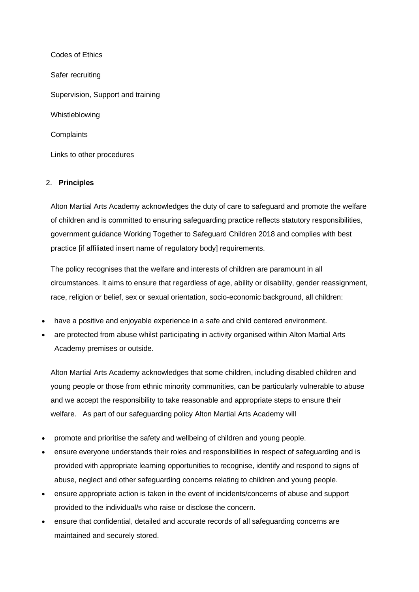Codes of Ethics Safer recruiting Supervision, Support and training Whistleblowing **Complaints** Links to other procedures

## 2. **Principles**

Alton Martial Arts Academy acknowledges the duty of care to safeguard and promote the welfare of children and is committed to ensuring safeguarding practice reflects statutory responsibilities, government guidance Working Together to Safeguard Children 2018 and complies with best practice [if affiliated insert name of regulatory body] requirements.

The policy recognises that the welfare and interests of children are paramount in all circumstances. It aims to ensure that regardless of age, ability or disability, gender reassignment, race, religion or belief, sex or sexual orientation, socio-economic background, all children:

- have a positive and enjoyable experience in a safe and child centered environment.
- are protected from abuse whilst participating in activity organised within Alton Martial Arts Academy premises or outside.

Alton Martial Arts Academy acknowledges that some children, including disabled children and young people or those from ethnic minority communities, can be particularly vulnerable to abuse and we accept the responsibility to take reasonable and appropriate steps to ensure their welfare. As part of our safeguarding policy Alton Martial Arts Academy will

- promote and prioritise the safety and wellbeing of children and young people.
- ensure everyone understands their roles and responsibilities in respect of safeguarding and is provided with appropriate learning opportunities to recognise, identify and respond to signs of abuse, neglect and other safeguarding concerns relating to children and young people.
- ensure appropriate action is taken in the event of incidents/concerns of abuse and support provided to the individual/s who raise or disclose the concern.
- ensure that confidential, detailed and accurate records of all safeguarding concerns are maintained and securely stored.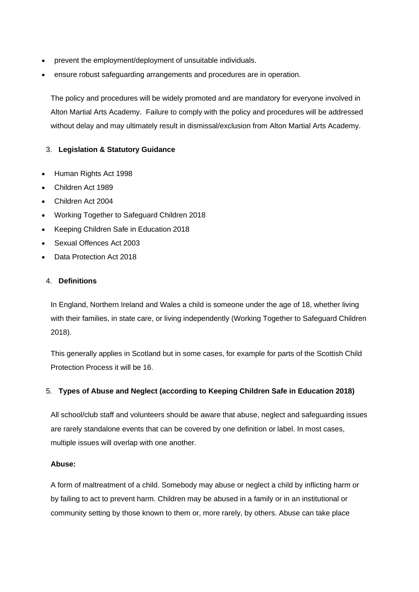- prevent the employment/deployment of unsuitable individuals.
- ensure robust safeguarding arrangements and procedures are in operation.

The policy and procedures will be widely promoted and are mandatory for everyone involved in Alton Martial Arts Academy. Failure to comply with the policy and procedures will be addressed without delay and may ultimately result in dismissal/exclusion from Alton Martial Arts Academy.

# 3. **Legislation & Statutory Guidance**

- Human Rights Act 1998
- Children Act 1989
- Children Act 2004
- Working Together to Safeguard Children 2018
- Keeping Children Safe in Education 2018
- Sexual Offences Act 2003
- Data Protection Act 2018

# 4. **Definitions**

In England, Northern Ireland and Wales a child is someone under the age of 18, whether living with their families, in state care, or living independently (Working Together to Safeguard Children 2018).

This generally applies in Scotland but in some cases, for example for parts of the Scottish Child Protection Process it will be 16.

# 5. **Types of Abuse and Neglect (according to Keeping Children Safe in Education 2018)**

All school/club staff and volunteers should be aware that abuse, neglect and safeguarding issues are rarely standalone events that can be covered by one definition or label. In most cases, multiple issues will overlap with one another.

# **Abuse:**

A form of maltreatment of a child. Somebody may abuse or neglect a child by inflicting harm or by failing to act to prevent harm. Children may be abused in a family or in an institutional or community setting by those known to them or, more rarely, by others. Abuse can take place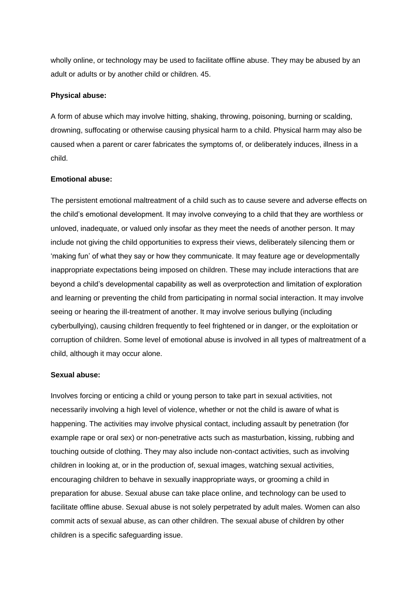wholly online, or technology may be used to facilitate offline abuse. They may be abused by an adult or adults or by another child or children. 45.

#### **Physical abuse:**

A form of abuse which may involve hitting, shaking, throwing, poisoning, burning or scalding, drowning, suffocating or otherwise causing physical harm to a child. Physical harm may also be caused when a parent or carer fabricates the symptoms of, or deliberately induces, illness in a child.

#### **Emotional abuse:**

The persistent emotional maltreatment of a child such as to cause severe and adverse effects on the child's emotional development. It may involve conveying to a child that they are worthless or unloved, inadequate, or valued only insofar as they meet the needs of another person. It may include not giving the child opportunities to express their views, deliberately silencing them or 'making fun' of what they say or how they communicate. It may feature age or developmentally inappropriate expectations being imposed on children. These may include interactions that are beyond a child's developmental capability as well as overprotection and limitation of exploration and learning or preventing the child from participating in normal social interaction. It may involve seeing or hearing the ill-treatment of another. It may involve serious bullying (including cyberbullying), causing children frequently to feel frightened or in danger, or the exploitation or corruption of children. Some level of emotional abuse is involved in all types of maltreatment of a child, although it may occur alone.

#### **Sexual abuse:**

Involves forcing or enticing a child or young person to take part in sexual activities, not necessarily involving a high level of violence, whether or not the child is aware of what is happening. The activities may involve physical contact, including assault by penetration (for example rape or oral sex) or non-penetrative acts such as masturbation, kissing, rubbing and touching outside of clothing. They may also include non-contact activities, such as involving children in looking at, or in the production of, sexual images, watching sexual activities, encouraging children to behave in sexually inappropriate ways, or grooming a child in preparation for abuse. Sexual abuse can take place online, and technology can be used to facilitate offline abuse. Sexual abuse is not solely perpetrated by adult males. Women can also commit acts of sexual abuse, as can other children. The sexual abuse of children by other children is a specific safeguarding issue.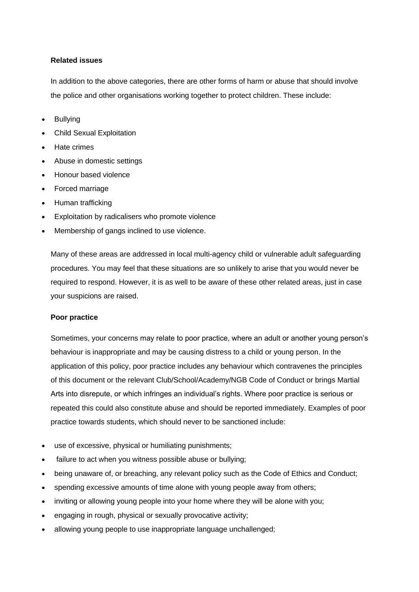## **Related issues**

In addition to the above categories, there are other forms of harm or abuse that should involve the police and other organisations working together to protect children. These include:

- Bullying
- Child Sexual Exploitation
- Hate crimes
- Abuse in domestic settings
- Honour based violence
- Forced marriage
- Human trafficking
- Exploitation by radicalisers who promote violence
- Membership of gangs inclined to use violence.

Many of these areas are addressed in local multi-agency child or vulnerable adult safeguarding procedures. You may feel that these situations are so unlikely to arise that you would never be required to respond. However, it is as well to be aware of these other related areas, just in case your suspicions are raised.

# **Poor practice**

Sometimes, your concerns may relate to poor practice, where an adult or another young person's behaviour is inappropriate and may be causing distress to a child or young person. In the application of this policy, poor practice includes any behaviour which contravenes the principles of this document or the relevant Club/School/Academy/NGB Code of Conduct or brings Martial Arts into disrepute, or which infringes an individual's rights. Where poor practice is serious or repeated this could also constitute abuse and should be reported immediately. Examples of poor practice towards students, which should never to be sanctioned include:

- use of excessive, physical or humiliating punishments;
- failure to act when you witness possible abuse or bullying;
- being unaware of, or breaching, any relevant policy such as the Code of Ethics and Conduct;
- spending excessive amounts of time alone with young people away from others;
- inviting or allowing young people into your home where they will be alone with you;
- engaging in rough, physical or sexually provocative activity;
- allowing young people to use inappropriate language unchallenged;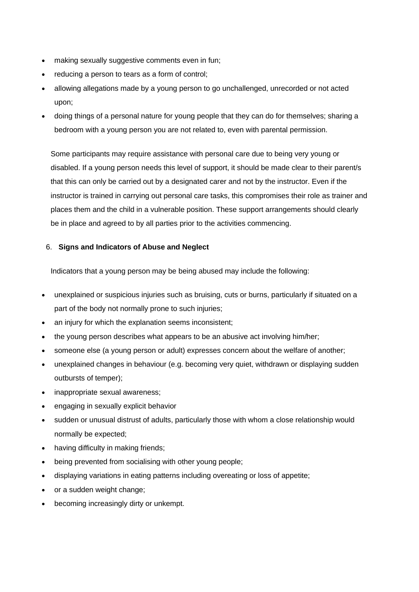- making sexually suggestive comments even in fun;
- reducing a person to tears as a form of control;
- allowing allegations made by a young person to go unchallenged, unrecorded or not acted upon;
- doing things of a personal nature for young people that they can do for themselves; sharing a bedroom with a young person you are not related to, even with parental permission.

Some participants may require assistance with personal care due to being very young or disabled. If a young person needs this level of support, it should be made clear to their parent/s that this can only be carried out by a designated carer and not by the instructor. Even if the instructor is trained in carrying out personal care tasks, this compromises their role as trainer and places them and the child in a vulnerable position. These support arrangements should clearly be in place and agreed to by all parties prior to the activities commencing.

# 6. **Signs and Indicators of Abuse and Neglect**

Indicators that a young person may be being abused may include the following:

- unexplained or suspicious injuries such as bruising, cuts or burns, particularly if situated on a part of the body not normally prone to such injuries;
- an injury for which the explanation seems inconsistent;
- the young person describes what appears to be an abusive act involving him/her;
- someone else (a young person or adult) expresses concern about the welfare of another;
- unexplained changes in behaviour (e.g. becoming very quiet, withdrawn or displaying sudden outbursts of temper);
- inappropriate sexual awareness;
- engaging in sexually explicit behavior
- sudden or unusual distrust of adults, particularly those with whom a close relationship would normally be expected;
- having difficulty in making friends;
- being prevented from socialising with other young people;
- displaying variations in eating patterns including overeating or loss of appetite;
- or a sudden weight change;
- becoming increasingly dirty or unkempt.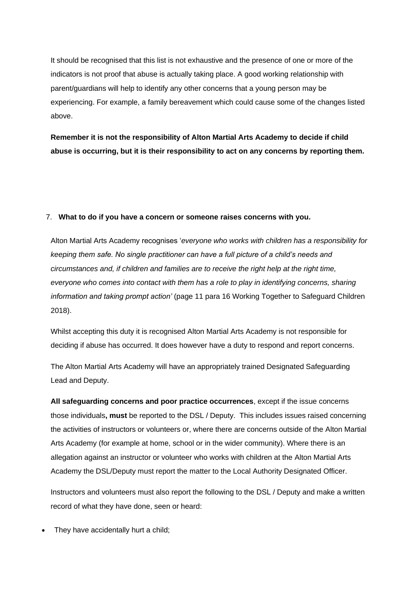It should be recognised that this list is not exhaustive and the presence of one or more of the indicators is not proof that abuse is actually taking place. A good working relationship with parent/guardians will help to identify any other concerns that a young person may be experiencing. For example, a family bereavement which could cause some of the changes listed above.

**Remember it is not the responsibility of Alton Martial Arts Academy to decide if child abuse is occurring, but it is their responsibility to act on any concerns by reporting them.**

#### 7. **What to do if you have a concern or someone raises concerns with you.**

Alton Martial Arts Academy recognises '*everyone who works with children has a responsibility for keeping them safe. No single practitioner can have a full picture of a child's needs and circumstances and, if children and families are to receive the right help at the right time, everyone who comes into contact with them has a role to play in identifying concerns, sharing information and taking prompt action'* (page 11 para 16 Working Together to Safeguard Children 2018).

Whilst accepting this duty it is recognised Alton Martial Arts Academy is not responsible for deciding if abuse has occurred. It does however have a duty to respond and report concerns.

The Alton Martial Arts Academy will have an appropriately trained Designated Safeguarding Lead and Deputy.

**All safeguarding concerns and poor practice occurrences**, except if the issue concerns those individuals**, must** be reported to the DSL / Deputy. This includes issues raised concerning the activities of instructors or volunteers or, where there are concerns outside of the Alton Martial Arts Academy (for example at home, school or in the wider community). Where there is an allegation against an instructor or volunteer who works with children at the Alton Martial Arts Academy the DSL/Deputy must report the matter to the Local Authority Designated Officer.

Instructors and volunteers must also report the following to the DSL / Deputy and make a written record of what they have done, seen or heard:

They have accidentally hurt a child;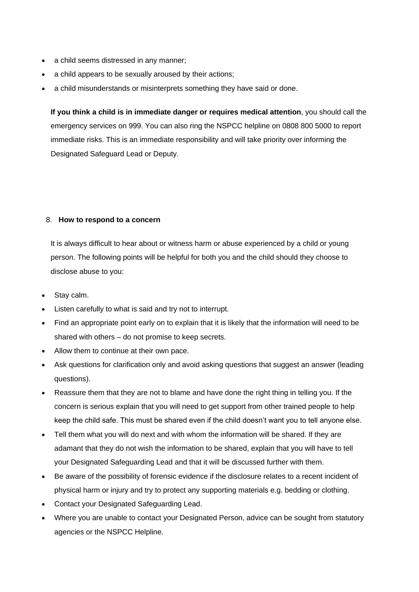- a child seems distressed in any manner:
- a child appears to be sexually aroused by their actions;
- a child misunderstands or misinterprets something they have said or done.

**If you think a child is in immediate danger or requires medical attention**, you should call the emergency services on 999. You can also ring the NSPCC helpline on 0808 800 5000 to report immediate risks. This is an immediate responsibility and will take priority over informing the Designated Safeguard Lead or Deputy.

## 8. **How to respond to a concern**

It is always difficult to hear about or witness harm or abuse experienced by a child or young person. The following points will be helpful for both you and the child should they choose to disclose abuse to you:

- Stay calm.
- Listen carefully to what is said and try not to interrupt.
- Find an appropriate point early on to explain that it is likely that the information will need to be shared with others – do not promise to keep secrets.
- Allow them to continue at their own pace.
- Ask questions for clarification only and avoid asking questions that suggest an answer (leading questions).
- Reassure them that they are not to blame and have done the right thing in telling you. If the concern is serious explain that you will need to get support from other trained people to help keep the child safe. This must be shared even if the child doesn't want you to tell anyone else.
- Tell them what you will do next and with whom the information will be shared. If they are adamant that they do not wish the information to be shared, explain that you will have to tell your Designated Safeguarding Lead and that it will be discussed further with them.
- Be aware of the possibility of forensic evidence if the disclosure relates to a recent incident of physical harm or injury and try to protect any supporting materials e.g. bedding or clothing.
- Contact your Designated Safeguarding Lead.
- Where you are unable to contact your Designated Person, advice can be sought from statutory agencies or the NSPCC Helpline.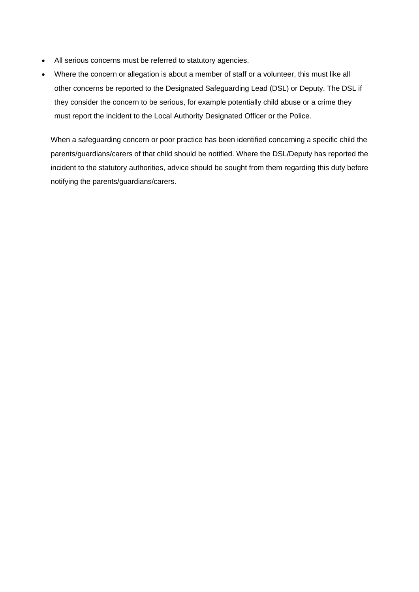- All serious concerns must be referred to statutory agencies.
- Where the concern or allegation is about a member of staff or a volunteer, this must like all other concerns be reported to the Designated Safeguarding Lead (DSL) or Deputy. The DSL if they consider the concern to be serious, for example potentially child abuse or a crime they must report the incident to the Local Authority Designated Officer or the Police.

When a safeguarding concern or poor practice has been identified concerning a specific child the parents/guardians/carers of that child should be notified. Where the DSL/Deputy has reported the incident to the statutory authorities, advice should be sought from them regarding this duty before notifying the parents/guardians/carers.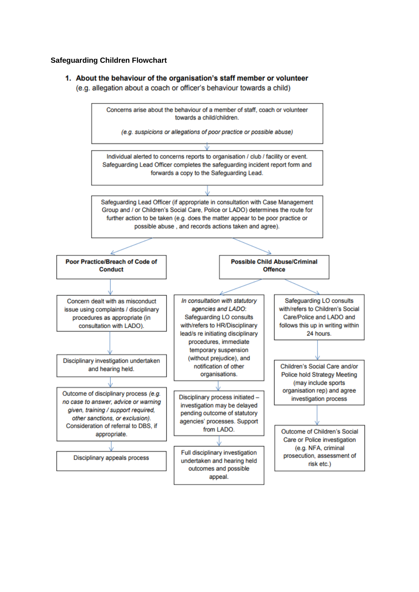## **Safeguarding Children Flowchart**

1. About the behaviour of the organisation's staff member or volunteer (e.g. allegation about a coach or officer's behaviour towards a child)

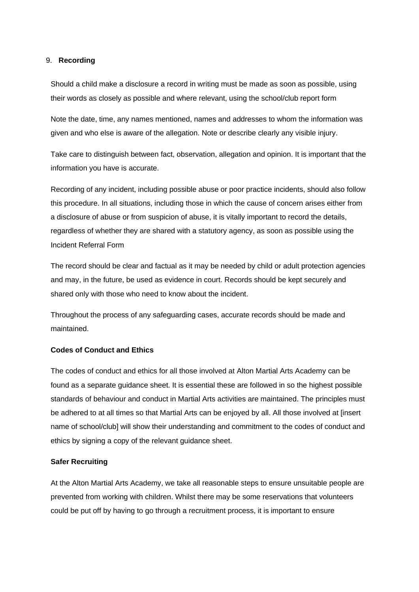#### 9. **Recording**

Should a child make a disclosure a record in writing must be made as soon as possible, using their words as closely as possible and where relevant, using the school/club report form

Note the date, time, any names mentioned, names and addresses to whom the information was given and who else is aware of the allegation. Note or describe clearly any visible injury.

Take care to distinguish between fact, observation, allegation and opinion. It is important that the information you have is accurate.

Recording of any incident, including possible abuse or poor practice incidents, should also follow this procedure. In all situations, including those in which the cause of concern arises either from a disclosure of abuse or from suspicion of abuse, it is vitally important to record the details, regardless of whether they are shared with a statutory agency, as soon as possible using the Incident Referral Form

The record should be clear and factual as it may be needed by child or adult protection agencies and may, in the future, be used as evidence in court. Records should be kept securely and shared only with those who need to know about the incident.

Throughout the process of any safeguarding cases, accurate records should be made and maintained.

## **Codes of Conduct and Ethics**

The codes of conduct and ethics for all those involved at Alton Martial Arts Academy can be found as a separate guidance sheet. It is essential these are followed in so the highest possible standards of behaviour and conduct in Martial Arts activities are maintained. The principles must be adhered to at all times so that Martial Arts can be enjoyed by all. All those involved at [insert name of school/club] will show their understanding and commitment to the codes of conduct and ethics by signing a copy of the relevant guidance sheet.

## **Safer Recruiting**

At the Alton Martial Arts Academy, we take all reasonable steps to ensure unsuitable people are prevented from working with children. Whilst there may be some reservations that volunteers could be put off by having to go through a recruitment process, it is important to ensure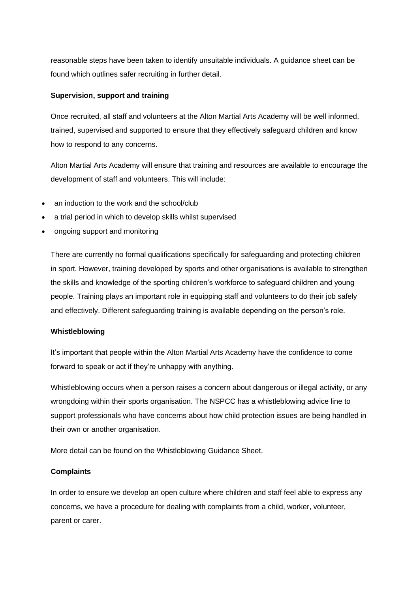reasonable steps have been taken to identify unsuitable individuals. A guidance sheet can be found which outlines safer recruiting in further detail.

#### **Supervision, support and training**

Once recruited, all staff and volunteers at the Alton Martial Arts Academy will be well informed, trained, supervised and supported to ensure that they effectively safeguard children and know how to respond to any concerns.

Alton Martial Arts Academy will ensure that training and resources are available to encourage the development of staff and volunteers. This will include:

- an induction to the work and the school/club
- a trial period in which to develop skills whilst supervised
- ongoing support and monitoring

There are currently no formal qualifications specifically for safeguarding and protecting children in sport. However, training developed by sports and other organisations is available to strengthen the skills and knowledge of the sporting children's workforce to safeguard children and young people. Training plays an important role in equipping staff and volunteers to do their job safely and effectively. Different safeguarding training is available depending on the person's role.

#### **Whistleblowing**

It's important that people within the Alton Martial Arts Academy have the confidence to come forward to speak or act if they're unhappy with anything.

Whistleblowing occurs when a person raises a concern about dangerous or illegal activity, or any wrongdoing within their sports organisation. The NSPCC has a [whistleblowing advice line](https://www.nspcc.org.uk/what-you-can-do/report-abuse/dedicated-helplines/whistleblowing-advice-line/) to support professionals who have concerns about how child protection issues are being handled in their own or another organisation.

More detail can be found on the Whistleblowing Guidance Sheet.

#### **Complaints**

In order to ensure we develop an open culture where children and staff feel able to express any concerns, we have a procedure for dealing with complaints from a child, worker, volunteer, parent or carer.